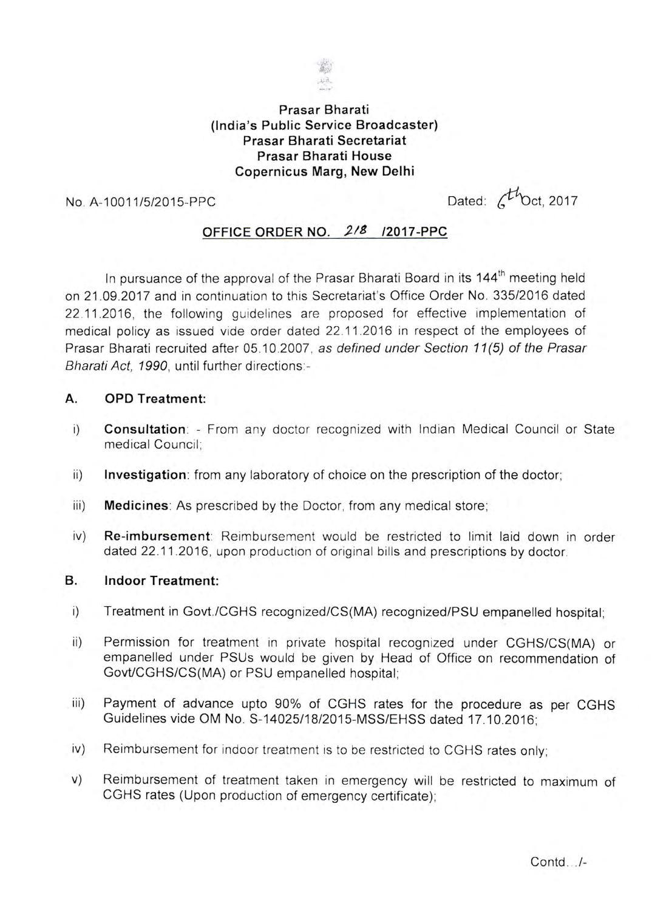

# **Prasar Bharati (India's Public Service Broadcaster) Prasar Bharati Secretariat Prasar Bharati House Copernicus Marg, New Delhi**

 $\frac{1}{\sqrt{1}}$  No. A-10011/5/2015-PPC Dated:  $\frac{1}{\sqrt{1}}$  Dated:  $\frac{1}{\sqrt{1}}$  Dated:  $\frac{1}{\sqrt{1}}$  Dated:  $\frac{1}{\sqrt{1}}$  Dated:  $\frac{1}{\sqrt{1}}$  Dated:  $\frac{1}{\sqrt{1}}$  Dated:  $\frac{1}{\sqrt{1}}$  Dated:  $\frac{1}{\sqrt{1}}$  Dated:  $\frac{1}{\sqrt{1}}$  Dated

# **OFFICE ORDER NO.** *J/8 /2017* **-PPC**

In pursuance of the approval of the Prasar Bharati Board in its 144<sup>th</sup> meeting held on 21.09.2017 and in continuation to this Secretariat's Office Order No. *335/2016* dated 22.11.2016, the following guidelines are proposed for effective implementation of medical policy as issued vide order dated 22.112016 in respect of the employees of Prasar Bharati recruited after 05.10.2007, as *defined under Section* 11 (5) *of the Prasar Bharati Act,* 1990, until further directions:-

### **A. OPD Treatment:**

- i) **Consultation: -** From any doctor recognized with Indian Medical Council or State medical Council;
- ii) **Investigation:** from any laboratory of choice on the prescription of the doctor;
- iii) **Medicines:** As prescribed by the Doctor, from any medical store;
- iv) **Re-imbursement:** Reimbursement would be restricted to limit laid down in order dated 22.11.2016, upon production of original bills and prescriptions by doctor.

#### **B. Indoor Treatment:**

- i) Treatment in Govt./CGHS recognized/CS(MA) recognized/PSU empanelled hospital;
- ii) Permission for treatment in private hospital recognized under CGHS/CS(MA) or empanelled under PSUs would be given by Head of Office on recommendation of GovtlCGHS/CS(MA) or PSU empanelled hospital;
- iii) Payment of advance upto 90% of CGHS rates for the procedure as per CGHS Guidelines vide OM No. S-14025/18/2015-MSS/EHSS dated 17.10.2016;
- iv) Reimbursement for indoor treatment is to be restricted to CGHS rates only;
- v) Reimbursement of treatment taken in emergency will be restricted to maximum of CGHS rates (Upon production of emergency certificate);